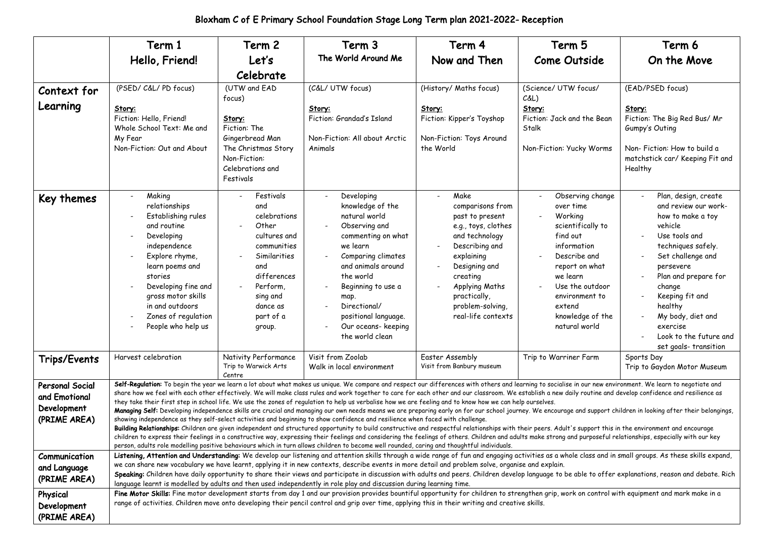|                                                                        | Term 1                                                                                                                                                                                                                                                                                                                                                                                                                                                                                                                                                                                                                                                                                                                                                                                                                                                                                                                                                                                                                                                                                                                                                                                                                                                                                                                                                                                                                                                                                                                              | Term 2                                                                                                                                                                    | Term 3                                                                                                                                                                                                                                                                      | Term 4                                                                                                                                                                                                                               | Term 5                                                                                                                                                                                                                     | Term 6                                                                                                                                                                                                                                                                                                                     |  |  |  |
|------------------------------------------------------------------------|-------------------------------------------------------------------------------------------------------------------------------------------------------------------------------------------------------------------------------------------------------------------------------------------------------------------------------------------------------------------------------------------------------------------------------------------------------------------------------------------------------------------------------------------------------------------------------------------------------------------------------------------------------------------------------------------------------------------------------------------------------------------------------------------------------------------------------------------------------------------------------------------------------------------------------------------------------------------------------------------------------------------------------------------------------------------------------------------------------------------------------------------------------------------------------------------------------------------------------------------------------------------------------------------------------------------------------------------------------------------------------------------------------------------------------------------------------------------------------------------------------------------------------------|---------------------------------------------------------------------------------------------------------------------------------------------------------------------------|-----------------------------------------------------------------------------------------------------------------------------------------------------------------------------------------------------------------------------------------------------------------------------|--------------------------------------------------------------------------------------------------------------------------------------------------------------------------------------------------------------------------------------|----------------------------------------------------------------------------------------------------------------------------------------------------------------------------------------------------------------------------|----------------------------------------------------------------------------------------------------------------------------------------------------------------------------------------------------------------------------------------------------------------------------------------------------------------------------|--|--|--|
|                                                                        | Hello, Friend!                                                                                                                                                                                                                                                                                                                                                                                                                                                                                                                                                                                                                                                                                                                                                                                                                                                                                                                                                                                                                                                                                                                                                                                                                                                                                                                                                                                                                                                                                                                      | Let's                                                                                                                                                                     | The World Around Me                                                                                                                                                                                                                                                         | Now and Then                                                                                                                                                                                                                         | <b>Come Outside</b>                                                                                                                                                                                                        | On the Move                                                                                                                                                                                                                                                                                                                |  |  |  |
|                                                                        |                                                                                                                                                                                                                                                                                                                                                                                                                                                                                                                                                                                                                                                                                                                                                                                                                                                                                                                                                                                                                                                                                                                                                                                                                                                                                                                                                                                                                                                                                                                                     | Celebrate                                                                                                                                                                 |                                                                                                                                                                                                                                                                             |                                                                                                                                                                                                                                      |                                                                                                                                                                                                                            |                                                                                                                                                                                                                                                                                                                            |  |  |  |
| Context for<br>Learning                                                | (PSED/C&L/PD focus)<br>Story:<br>Fiction: Hello, Friend!<br>Whole School Text: Me and<br>My Fear<br>Non-Fiction: Out and About                                                                                                                                                                                                                                                                                                                                                                                                                                                                                                                                                                                                                                                                                                                                                                                                                                                                                                                                                                                                                                                                                                                                                                                                                                                                                                                                                                                                      | (UTW and EAD<br>focus)<br>Story:<br>Fiction: The<br>Gingerbread Man<br>The Christmas Story<br>Non-Fiction:<br>Celebrations and<br>Festivals                               | (C&L/ UTW focus)<br>Story:<br>Fiction: Grandad's Island<br>Non-Fiction: All about Arctic<br>Animals                                                                                                                                                                         | (History/ Maths focus)<br>Story:<br>Fiction: Kipper's Toyshop<br>Non-Fiction: Toys Around<br>the World                                                                                                                               | (Science/ UTW focus/<br>C&L<br>Story:<br>Fiction: Jack and the Bean<br>Stalk<br>Non-Fiction: Yucky Worms                                                                                                                   | (EAD/PSED focus)<br>Story:<br>Fiction: The Big Red Bus/ Mr<br>Gumpy's Outing<br>Non-Fiction: How to build a<br>matchstick car/ Keeping Fit and<br>Healthy                                                                                                                                                                  |  |  |  |
| Key themes                                                             | Making<br>relationships<br>Establishing rules<br>and routine<br>Developing<br>$\overline{\phantom{a}}$<br>independence<br>Explore rhyme,<br>$\overline{\phantom{m}}$<br>learn poems and<br>stories<br>Developing fine and<br>gross motor skills<br>in and outdoors<br>Zones of regulation<br>People who help us                                                                                                                                                                                                                                                                                                                                                                                                                                                                                                                                                                                                                                                                                                                                                                                                                                                                                                                                                                                                                                                                                                                                                                                                                     | Festivals<br>and<br>celebrations<br>Other<br>cultures and<br>communities<br>Similarities<br>and<br>differences<br>Perform,<br>sing and<br>dance as<br>part of a<br>group. | Developing<br>knowledge of the<br>natural world<br>Observing and<br>commenting on what<br>we learn<br>Comparing climates<br>and animals around<br>the world<br>Beginning to use a<br>map.<br>Directional/<br>positional language.<br>Our oceans- keeping<br>the world clean | Make<br>comparisons from<br>past to present<br>e.g., toys, clothes<br>and technology<br>Describing and<br>explaining<br>Designing and<br>creating<br><b>Applying Maths</b><br>practically,<br>problem-solving,<br>real-life contexts | Observing change<br>over time<br>Working<br>scientifically to<br>find out<br>information<br>Describe and<br>report on what<br>we learn<br>Use the outdoor<br>environment to<br>extend<br>knowledge of the<br>natural world | Plan, design, create<br>and review our work-<br>how to make a toy<br>vehicle<br>Use tools and<br>techniques safely.<br>Set challenge and<br>persevere<br>Plan and prepare for<br>change<br>Keeping fit and<br>$\overline{a}$<br>healthy<br>My body, diet and<br>exercise<br>Look to the future and<br>set goals-transition |  |  |  |
| Trips/Events                                                           | Harvest celebration                                                                                                                                                                                                                                                                                                                                                                                                                                                                                                                                                                                                                                                                                                                                                                                                                                                                                                                                                                                                                                                                                                                                                                                                                                                                                                                                                                                                                                                                                                                 | Nativity Performance<br>Trip to Warwick Arts<br>Centre                                                                                                                    | Visit from Zoolab<br>Walk in local environment                                                                                                                                                                                                                              | Easter Assembly<br>Visit from Banbury museum                                                                                                                                                                                         | Trip to Warriner Farm                                                                                                                                                                                                      | Sports Day<br>Trip to Gaydon Motor Museum                                                                                                                                                                                                                                                                                  |  |  |  |
| <b>Personal Social</b><br>and Emotional<br>Development<br>(PRIME AREA) | Self-Regulation: To begin the year we learn a lot about what makes us unique. We compare and respect our differences with others and learning to socialise in our new environment. We learn to negotiate and<br>share how we feel with each other effectively. We will make class rules and work together to care for each other and our classroom. We establish a new daily routine and develop confidence and resilience as<br>they take their first step in school life. We use the zones of regulation to help us verbalise how we are feeling and to know how we can help ourselves.<br>Managing Self: Developing independence skills are crucial and managing our own needs means we are preparing early on for our school journey. We encourage and support children in looking after their belongings,<br>showing independence as they self-select activities and beginning to show confidence and resilience when faced with challenge.<br>Building Relationships: Children are given independent and structured opportunity to build constructive and respectful relationships with their peers. Adult's support this in the environment and encourage<br>children to express their feelings in a constructive way, expressing their feelings and considering the feelings of others. Children and adults make strong and purposeful relationships, especially with our key<br>person, adults role modelling positive behaviours which in turn allows children to become well rounded, caring and thoughtful individuals. |                                                                                                                                                                           |                                                                                                                                                                                                                                                                             |                                                                                                                                                                                                                                      |                                                                                                                                                                                                                            |                                                                                                                                                                                                                                                                                                                            |  |  |  |
| Communication                                                          |                                                                                                                                                                                                                                                                                                                                                                                                                                                                                                                                                                                                                                                                                                                                                                                                                                                                                                                                                                                                                                                                                                                                                                                                                                                                                                                                                                                                                                                                                                                                     |                                                                                                                                                                           |                                                                                                                                                                                                                                                                             |                                                                                                                                                                                                                                      |                                                                                                                                                                                                                            | Listening, Attention and Understanding: We develop our listening and attention skills through a wide range of fun and engaging activities as a whole class and in small groups. As these skills expand,                                                                                                                    |  |  |  |
| and Language<br>(PRIME AREA)                                           | we can share new vocabulary we have learnt, applying it in new contexts, describe events in more detail and problem solve, organise and explain.<br>Speaking: Children have daily opportunity to share their views and participate in discussion with adults and peers. Children develop language to be able to offer explanations, reason and debate. Rich<br>language learnt is modelled by adults and then used independently in role play and discussion during learning time.                                                                                                                                                                                                                                                                                                                                                                                                                                                                                                                                                                                                                                                                                                                                                                                                                                                                                                                                                                                                                                                  |                                                                                                                                                                           |                                                                                                                                                                                                                                                                             |                                                                                                                                                                                                                                      |                                                                                                                                                                                                                            |                                                                                                                                                                                                                                                                                                                            |  |  |  |
| Physical                                                               | Fine Motor Skills: Fine motor development starts from day 1 and our provision provides bountiful opportunity for children to strengthen grip, work on control with equipment and mark make in a                                                                                                                                                                                                                                                                                                                                                                                                                                                                                                                                                                                                                                                                                                                                                                                                                                                                                                                                                                                                                                                                                                                                                                                                                                                                                                                                     |                                                                                                                                                                           |                                                                                                                                                                                                                                                                             |                                                                                                                                                                                                                                      |                                                                                                                                                                                                                            |                                                                                                                                                                                                                                                                                                                            |  |  |  |
| Development<br>(PRIME AREA)                                            |                                                                                                                                                                                                                                                                                                                                                                                                                                                                                                                                                                                                                                                                                                                                                                                                                                                                                                                                                                                                                                                                                                                                                                                                                                                                                                                                                                                                                                                                                                                                     |                                                                                                                                                                           | range of activities. Children move onto developing their pencil control and grip over time, applying this in their writing and creative skills.                                                                                                                             |                                                                                                                                                                                                                                      |                                                                                                                                                                                                                            |                                                                                                                                                                                                                                                                                                                            |  |  |  |